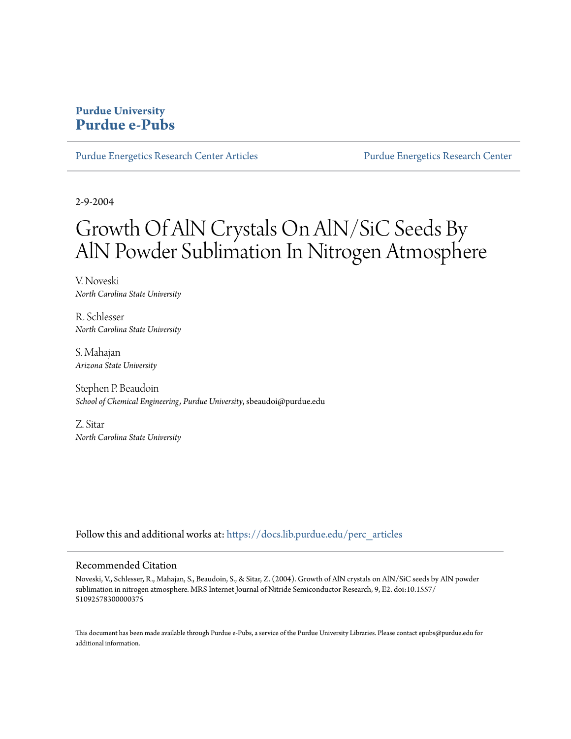## **Purdue University [Purdue e-Pubs](https://docs.lib.purdue.edu?utm_source=docs.lib.purdue.edu%2Fperc_articles%2F18&utm_medium=PDF&utm_campaign=PDFCoverPages)**

[Purdue Energetics Research Center Articles](https://docs.lib.purdue.edu/perc_articles?utm_source=docs.lib.purdue.edu%2Fperc_articles%2F18&utm_medium=PDF&utm_campaign=PDFCoverPages) **[Purdue Energetics Research Center](https://docs.lib.purdue.edu/perc?utm_source=docs.lib.purdue.edu%2Fperc_articles%2F18&utm_medium=PDF&utm_campaign=PDFCoverPages)** 

2-9-2004

# Growth Of AlN Crystals On AlN/SiC Seeds By AlN Powder Sublimation In Nitrogen Atmosphere

V. Noveski *North Carolina State University*

R. Schlesser *North Carolina State University*

S. Mahajan *Arizona State University*

Stephen P. Beaudoin *School of Chemical Engineering, Purdue University*, sbeaudoi@purdue.edu

Z. Sitar *North Carolina State University*

Follow this and additional works at: [https://docs.lib.purdue.edu/perc\\_articles](https://docs.lib.purdue.edu/perc_articles?utm_source=docs.lib.purdue.edu%2Fperc_articles%2F18&utm_medium=PDF&utm_campaign=PDFCoverPages)

#### Recommended Citation

Noveski, V., Schlesser, R., Mahajan, S., Beaudoin, S., & Sitar, Z. (2004). Growth of AlN crystals on AlN/SiC seeds by AlN powder sublimation in nitrogen atmosphere. MRS Internet Journal of Nitride Semiconductor Research, 9, E2. doi:10.1557/ S1092578300000375

This document has been made available through Purdue e-Pubs, a service of the Purdue University Libraries. Please contact epubs@purdue.edu for additional information.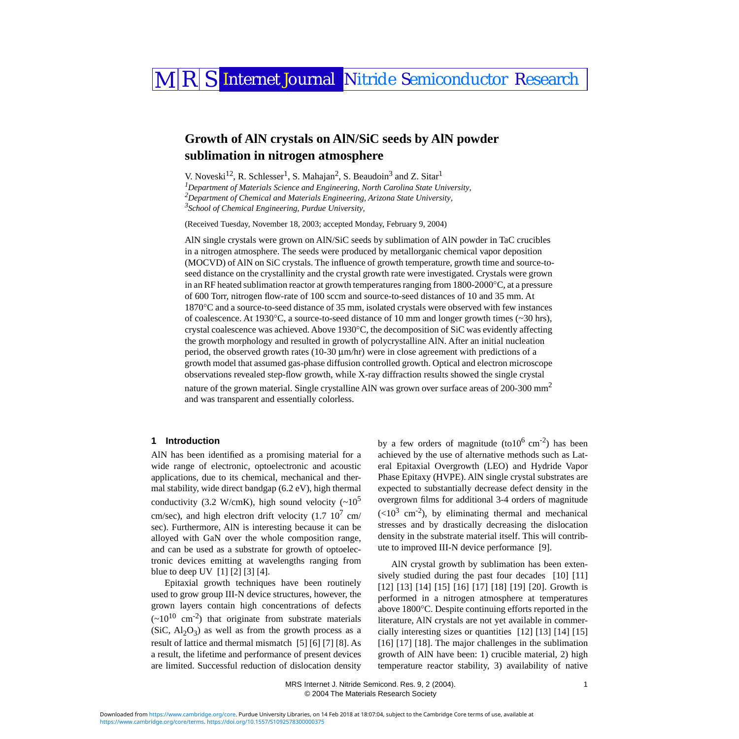# MRS Internet Journal Nitride Semiconductor Research

## **Growth of AlN crystals on AlN/SiC seeds by AlN powder sublimation in nitrogen atmosphere**

<span id="page-1-1"></span><span id="page-1-0"></span>V. Noveski<sup>[1](#page-1-0)2</sup>, R. Schlesser<sup>1</sup>, S. Mahajan<sup>2</sup>, S. Beaudoin<sup>3</sup> and Z. Sitar<sup>1</sup> *Department of Materials Science and Engineering, North Carolina State University, Department of Chemical and Materials Engineering, Arizona State University, School of Chemical Engineering, Purdue University,* 

<span id="page-1-2"></span>(Received Tuesday, November 18, 2003; accepted Monday, February 9, 2004)

AlN single crystals were grown on AlN/SiC seeds by sublimation of AlN powder in TaC crucibles in a nitrogen atmosphere. The seeds were produced by metallorganic chemical vapor deposition (MOCVD) of AlN on SiC crystals. The influence of growth temperature, growth time and source-toseed distance on the crystallinity and the crystal growth rate were investigated. Crystals were grown in an RF heated sublimation reactor at growth temperatures ranging from 1800-2000°C, at a pressure of 600 Torr, nitrogen flow-rate of 100 sccm and source-to-seed distances of 10 and 35 mm. At 1870°C and a source-to-seed distance of 35 mm, isolated crystals were observed with few instances of coalescence. At 1930°C, a source-to-seed distance of 10 mm and longer growth times (~30 hrs), crystal coalescence was achieved. Above 1930°C, the decomposition of SiC was evidently affecting the growth morphology and resulted in growth of polycrystalline AlN. After an initial nucleation period, the observed growth rates (10-30 µm/hr) were in close agreement with predictions of a growth model that assumed gas-phase diffusion controlled growth. Optical and electron microscope observations revealed step-flow growth, while X-ray diffraction results showed the single crystal nature of the grown material. Single crystalline AIN was grown over surface areas of 200-300  $\text{mm}^2$ and was transparent and essentially colorless.

#### **1 Introduction**

AlN has been identified as a promising material for a wide range of electronic, optoelectronic and acoustic applications, due to its chemical, mechanical and thermal stability, wide direct bandgap (6.2 eV), high thermal conductivity (3.2 W/cmK), high sound velocity  $({\sim}10^5$ cm/sec), and high electron drift velocity  $(1.7 \ 10^7 \text{ cm})$ sec). Furthermore, AlN is interesting because it can be alloyed with GaN over the whole composition range, and can be used as a substrate for growth of optoelectronic devices emitting at wavelengths ranging from blue to deep UV [\[1\]](#page-4-0) [\[2\]](#page-4-1) [\[3\]](#page-4-2) [\[4\].](#page-4-3)

Epitaxial growth techniques have been routinely used to grow group III-N device structures, however, the grown layers contain high concentrations of defects  $({\sim}10^{10}$  cm<sup>-2</sup>) that originate from substrate materials (SiC,  $Al_2O_3$ ) as well as from the growth process as a result of lattice and thermal mismatch [\[5\]](#page-5-0) [\[6\]](#page-5-1) [\[7\]](#page-5-2) [\[8\].](#page-5-3) As a result, the lifetime and performance of present devices are limited. Successful reduction of dislocation density

by a few orders of magnitude (to10<sup>6</sup> cm<sup>-2</sup>) has been achieved by the use of alternative methods such as Lateral Epitaxial Overgrowth (LEO) and Hydride Vapor Phase Epitaxy (HVPE). AlN single crystal substrates are expected to substantially decrease defect density in the overgrown films for additional 3-4 orders of magnitude  $(<10<sup>3</sup>$  cm<sup>-2</sup>), by eliminating thermal and mechanical stresses and by drastically decreasing the dislocation density in the substrate material itself. This will contribute to improved III-N device performance [\[9\]](#page-5-4).

AlN crystal growth by sublimation has been exten-sively studied during the past four decades [\[10\]](#page-5-5) [\[11\]](#page-5-6) [\[12\]](#page-5-7) [\[13\]](#page-5-8) [\[14\]](#page-5-9) [\[15\]](#page-5-10) [\[16\]](#page-5-11) [\[17\]](#page-5-12) [\[18\]](#page-5-13) [\[19\]](#page-5-14) [\[20\]](#page-5-15). Growth is performed in a nitrogen atmosphere at temperatures above 1800°C. Despite continuing efforts reported in the literature, AlN crystals are not yet available in commercially interesting sizes or quantities [\[12\]](#page-5-7) [\[13\]](#page-5-8) [\[14\]](#page-5-9) [\[15\]](#page-5-10) [\[16\]](#page-5-11) [\[17\]](#page-5-12) [\[18\]](#page-5-13). The major challenges in the sublimation growth of AlN have been: 1) crucible material, 2) high temperature reactor stability, 3) availability of native

MRS Internet J. Nitride Semicond. Res. 9, 2 (2004). 1 © 2004 The Materials Research Society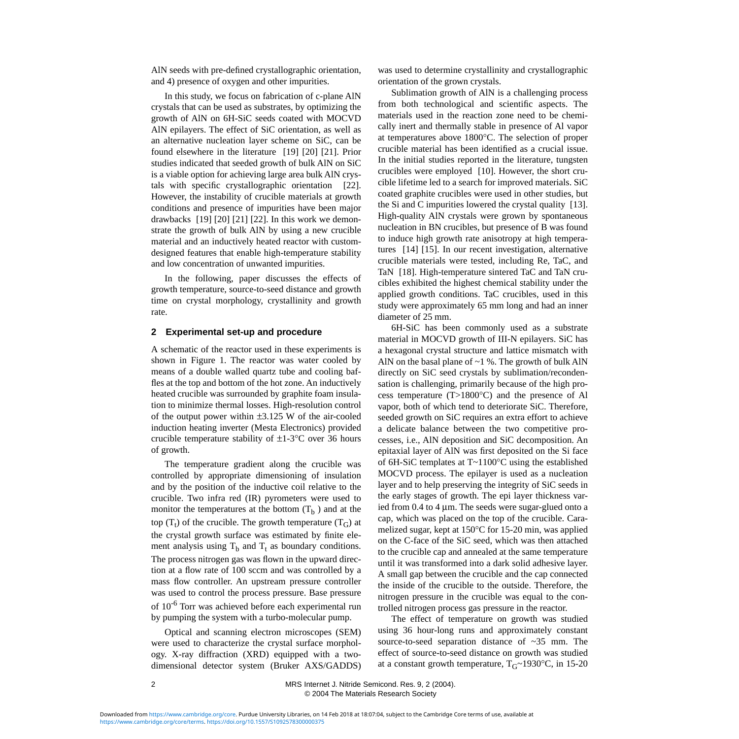AlN seeds with pre-defined crystallographic orientation, and 4) presence of oxygen and other impurities.

In this study, we focus on fabrication of c-plane AlN crystals that can be used as substrates, by optimizing the growth of AlN on 6H-SiC seeds coated with MOCVD AlN epilayers. The effect of SiC orientation, as well as an alternative nucleation layer scheme on SiC, can be found elsewhere in the literature [\[19\]](#page-5-14) [\[20\]](#page-5-15) [\[21\].](#page-5-16) Prior studies indicated that seeded growth of bulk AlN on SiC is a viable option for achieving large area bulk AlN crystals with specific crystallographic orientation [\[22\]](#page-5-17). However, the instability of crucible materials at growth conditions and presence of impurities have been major drawbacks [\[19\]](#page-5-14) [\[20\]](#page-5-15) [\[21\]](#page-5-16) [\[22\]](#page-5-17). In this work we demonstrate the growth of bulk AlN by using a new crucible material and an inductively heated reactor with customdesigned features that enable high-temperature stability and low concentration of unwanted impurities.

In the following, paper discusses the effects of growth temperature, source-to-seed distance and growth time on crystal morphology, crystallinity and growth rate.

#### **2 Experimental set-up and procedure**

A schematic of the reactor used in these experiments is shown in Figure [1](#page-5-18). The reactor was water cooled by means of a double walled quartz tube and cooling baffles at the top and bottom of the hot zone. An inductively heated crucible was surrounded by graphite foam insulation to minimize thermal losses. High-resolution control of the output power within  $\pm 3.125$  W of the air-cooled induction heating inverter (Mesta Electronics) provided crucible temperature stability of  $\pm 1$ -3°C over 36 hours of growth.

The temperature gradient along the crucible was controlled by appropriate dimensioning of insulation and by the position of the inductive coil relative to the crucible. Two infra red (IR) pyrometers were used to monitor the temperatures at the bottom  $(T_b)$  and at the top  $(T_t)$  of the crucible. The growth temperature  $(T_G)$  at the crystal growth surface was estimated by finite element analysis using  $T_b$  and  $T_t$  as boundary conditions. The process nitrogen gas was flown in the upward direction at a flow rate of 100 sccm and was controlled by a mass flow controller. An upstream pressure controller was used to control the process pressure. Base pressure of 10-6 Torr was achieved before each experimental run by pumping the system with a turbo-molecular pump.

Optical and scanning electron microscopes (SEM) were used to characterize the crystal surface morphology. X-ray diffraction (XRD) equipped with a twodimensional detector system (Bruker AXS/GADDS) was used to determine crystallinity and crystallographic orientation of the grown crystals.

Sublimation growth of AlN is a challenging process from both technological and scientific aspects. The materials used in the reaction zone need to be chemically inert and thermally stable in presence of Al vapor at temperatures above 1800°C. The selection of proper crucible material has been identified as a crucial issue. In the initial studies reported in the literature, tungsten crucibles were employed [\[10\].](#page-5-5) However, the short crucible lifetime led to a search for improved materials. SiC coated graphite crucibles were used in other studies, but the Si and C impurities lowered the crystal quality [\[13\]](#page-5-8). High-quality AlN crystals were grown by spontaneous nucleation in BN crucibles, but presence of B was found to induce high growth rate anisotropy at high temperatures [\[14\]](#page-5-9) [\[15\]](#page-5-10). In our recent investigation, alternative crucible materials were tested, including Re, TaC, and TaN [\[18\]](#page-5-13). High-temperature sintered TaC and TaN crucibles exhibited the highest chemical stability under the applied growth conditions. TaC crucibles, used in this study were approximately 65 mm long and had an inner diameter of 25 mm.

6H-SiC has been commonly used as a substrate material in MOCVD growth of III-N epilayers. SiC has a hexagonal crystal structure and lattice mismatch with AlN on the basal plane of  $\sim$ 1 %. The growth of bulk AlN directly on SiC seed crystals by sublimation/recondensation is challenging, primarily because of the high process temperature (T>1800°C) and the presence of Al vapor, both of which tend to deteriorate SiC. Therefore, seeded growth on SiC requires an extra effort to achieve a delicate balance between the two competitive processes, i.e., AlN deposition and SiC decomposition. An epitaxial layer of AlN was first deposited on the Si face of 6H-SiC templates at T~1100°C using the established MOCVD process. The epilayer is used as a nucleation layer and to help preserving the integrity of SiC seeds in the early stages of growth. The epi layer thickness varied from 0.4 to 4 µm. The seeds were sugar-glued onto a cap, which was placed on the top of the crucible. Caramelized sugar, kept at 150°C for 15-20 min, was applied on the C-face of the SiC seed, which was then attached to the crucible cap and annealed at the same temperature until it was transformed into a dark solid adhesive layer. A small gap between the crucible and the cap connected the inside of the crucible to the outside. Therefore, the nitrogen pressure in the crucible was equal to the controlled nitrogen process gas pressure in the reactor.

The effect of temperature on growth was studied using 36 hour-long runs and approximately constant source-to-seed separation distance of ~35 mm. The effect of source-to-seed distance on growth was studied at a constant growth temperature,  $T_{G}$ ~1930°C, in 15-20

2 MRS Internet J. Nitride Semicond. Res. 9, 2 (2004). © 2004 The Materials Research Society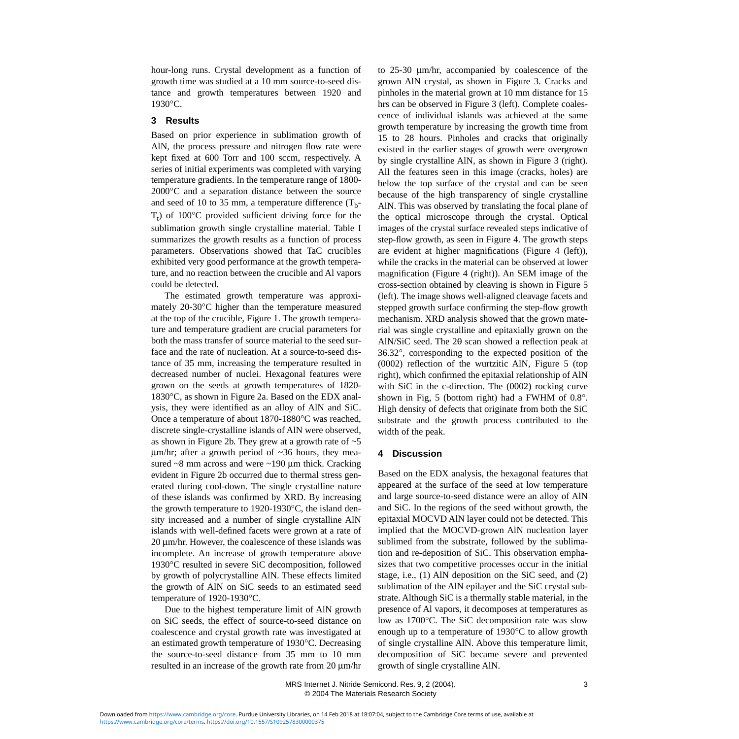hour-long runs. Crystal development as a function of growth time was studied at a 10 mm source-to-seed distance and growth temperatures between 1920 and 1930°C.

#### **3 Results**

Based on prior experience in sublimation growth of AlN, the process pressure and nitrogen flow rate were kept fixed at 600 Torr and 100 sccm, respectively. A series of initial experiments was completed with varying temperature gradients. In the temperature range of 1800- 2000°C and a separation distance between the source and seed of 10 to 35 mm, a temperature difference  $(T_b$ - $T_t$ ) of 100°C provided sufficient driving force for the sublimation growth single crystalline material. Table I summarizes the growth results as a function of process parameters. Observations showed that TaC crucibles exhibited very good performance at the growth temperature, and no reaction between the crucible and Al vapors could be detected.

The estimated growth temperature was approximately 20-30°C higher than the temperature measured at the top of the crucible, Figure [1](#page-5-18). The growth temperature and temperature gradient are crucial parameters for both the mass transfer of source material to the seed surface and the rate of nucleation. At a source-to-seed distance of 35 mm, increasing the temperature resulted in decreased number of nuclei. Hexagonal features were grown on the seeds at growth temperatures of 1820- 1830°C, as shown in Figure [2a](#page-5-18). Based on the EDX analysis, they were identified as an alloy of AlN and SiC. Once a temperature of about 1870-1880°C was reached, discrete single-crystalline islands of AlN were observed, as shown in Figure [2b](#page-5-18). They grew at a growth rate of  $\sim$  5  $\mu$ m/hr; after a growth period of  $\sim$ 36 hours, they measured  $\sim$ 8 mm across and were  $\sim$ 190 µm thick. Cracking evident in Figure [2](#page-5-18)b occurred due to thermal stress generated during cool-down. The single crystalline nature of these islands was confirmed by XRD. By increasing the growth temperature to 1920-1930°C, the island density increased and a number of single crystalline AlN islands with well-defined facets were grown at a rate of 20 µm/hr. However, the coalescence of these islands was incomplete. An increase of growth temperature above 1930°C resulted in severe SiC decomposition, followed by growth of polycrystalline AlN. These effects limited the growth of AlN on SiC seeds to an estimated seed temperature of 1920-1930°C.

Due to the highest temperature limit of AlN growth on SiC seeds, the effect of source-to-seed distance on coalescence and crystal growth rate was investigated at an estimated growth temperature of 1930°C. Decreasing the source-to-seed distance from 35 mm to 10 mm resulted in an increase of the growth rate from 20 µm/hr to 25-30 µm/hr, accompanied by coalescence of the grown AlN crystal, as shown in Figure [3](#page-5-18). Cracks and pinholes in the material grown at 10 mm distance for 15 hrs can be observed in Figure [3](#page-5-18) (left). Complete coalescence of individual islands was achieved at the same growth temperature by increasing the growth time from 15 to 28 hours. Pinholes and cracks that originally existed in the earlier stages of growth were overgrown by single crystalline AlN, as shown in Figure [3](#page-5-18) (right). All the features seen in this image (cracks, holes) are below the top surface of the crystal and can be seen because of the high transparency of single crystalline AlN. This was observed by translating the focal plane of the optical microscope through the crystal. Optical images of the crystal surface revealed steps indicative of step-flow growth, as seen in Figure [4](#page-5-18). The growth steps are evident at higher magnifications (Figure [4](#page-5-18) (left)), while the cracks in the material can be observed at lower magnification (Figure [4](#page-5-18) (right)). An SEM image of the cross-section obtained by cleaving is shown in Figure [5](#page-5-18) (left). The image shows well-aligned cleavage facets and stepped growth surface confirming the step-flow growth mechanism. XRD analysis showed that the grown material was single crystalline and epitaxially grown on the AlN/SiC seed. The 2θ scan showed a reflection peak at 36.32°, corresponding to the expected position of the (0002) reflection of the wurtzitic AlN, Figure [5](#page-5-18) (top right), which confirmed the epitaxial relationship of AlN with SiC in the c-direction. The (0002) rocking curve shown in Fig, 5 (bottom right) had a FWHM of 0.8°. High density of defects that originate from both the SiC substrate and the growth process contributed to the width of the peak.

#### **4 Discussion**

Based on the EDX analysis, the hexagonal features that appeared at the surface of the seed at low temperature and large source-to-seed distance were an alloy of AlN and SiC. In the regions of the seed without growth, the epitaxial MOCVD AlN layer could not be detected. This implied that the MOCVD-grown AlN nucleation layer sublimed from the substrate, followed by the sublimation and re-deposition of SiC. This observation emphasizes that two competitive processes occur in the initial stage, i.e., (1) AlN deposition on the SiC seed, and (2) sublimation of the AlN epilayer and the SiC crystal substrate. Although SiC is a thermally stable material, in the presence of Al vapors, it decomposes at temperatures as low as 1700°C. The SiC decomposition rate was slow enough up to a temperature of 1930°C to allow growth of single crystalline AlN. Above this temperature limit, decomposition of SiC became severe and prevented growth of single crystalline AlN.

 MRS Internet J. Nitride Semicond. Res. 9, 2 (2004). 3 © 2004 The Materials Research Society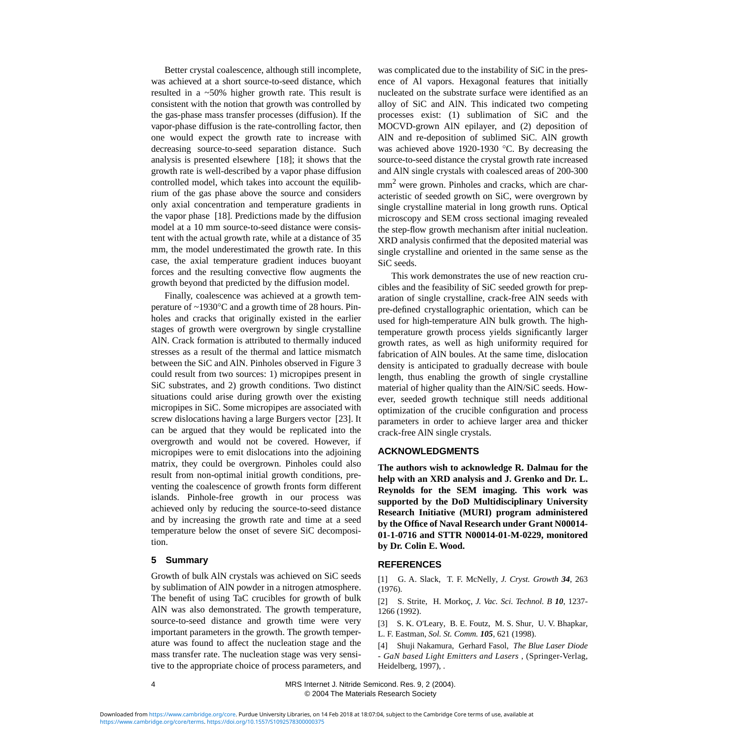Better crystal coalescence, although still incomplete, was achieved at a short source-to-seed distance, which resulted in a ~50% higher growth rate. This result is consistent with the notion that growth was controlled by the gas-phase mass transfer processes (diffusion). If the vapor-phase diffusion is the rate-controlling factor, then one would expect the growth rate to increase with decreasing source-to-seed separation distance. Such analysis is presented elsewhere [\[18\];](#page-5-13) it shows that the growth rate is well-described by a vapor phase diffusion controlled model, which takes into account the equilibrium of the gas phase above the source and considers only axial concentration and temperature gradients in the vapor phase [\[18\].](#page-5-13) Predictions made by the diffusion model at a 10 mm source-to-seed distance were consistent with the actual growth rate, while at a distance of 35 mm, the model underestimated the growth rate. In this case, the axial temperature gradient induces buoyant forces and the resulting convective flow augments the growth beyond that predicted by the diffusion model.

Finally, coalescence was achieved at a growth temperature of ~1930°C and a growth time of 28 hours. Pinholes and cracks that originally existed in the earlier stages of growth were overgrown by single crystalline AlN. Crack formation is attributed to thermally induced stresses as a result of the thermal and lattice mismatch between the SiC and AlN. Pinholes observed in Figure [3](#page-5-18) could result from two sources: 1) micropipes present in SiC substrates, and 2) growth conditions. Two distinct situations could arise during growth over the existing micropipes in SiC. Some micropipes are associated with screw dislocations having a large Burgers vector [\[23\]](#page-5-19). It can be argued that they would be replicated into the overgrowth and would not be covered. However, if micropipes were to emit dislocations into the adjoining matrix, they could be overgrown. Pinholes could also result from non-optimal initial growth conditions, preventing the coalescence of growth fronts form different islands. Pinhole-free growth in our process was achieved only by reducing the source-to-seed distance and by increasing the growth rate and time at a seed temperature below the onset of severe SiC decomposition.

#### **5 Summary**

Growth of bulk AlN crystals was achieved on SiC seeds by sublimation of AlN powder in a nitrogen atmosphere. The benefit of using TaC crucibles for growth of bulk AlN was also demonstrated. The growth temperature, source-to-seed distance and growth time were very important parameters in the growth. The growth temperature was found to affect the nucleation stage and the mass transfer rate. The nucleation stage was very sensitive to the appropriate choice of process parameters, and was complicated due to the instability of SiC in the presence of Al vapors. Hexagonal features that initially nucleated on the substrate surface were identified as an alloy of SiC and AlN. This indicated two competing processes exist: (1) sublimation of SiC and the MOCVD-grown AlN epilayer, and (2) deposition of AlN and re-deposition of sublimed SiC. AlN growth was achieved above 1920-1930 °C. By decreasing the source-to-seed distance the crystal growth rate increased and AlN single crystals with coalesced areas of 200-300 mm<sup>2</sup> were grown. Pinholes and cracks, which are characteristic of seeded growth on SiC, were overgrown by single crystalline material in long growth runs. Optical microscopy and SEM cross sectional imaging revealed the step-flow growth mechanism after initial nucleation. XRD analysis confirmed that the deposited material was single crystalline and oriented in the same sense as the SiC seeds.

This work demonstrates the use of new reaction crucibles and the feasibility of SiC seeded growth for preparation of single crystalline, crack-free AlN seeds with pre-defined crystallographic orientation, which can be used for high-temperature AlN bulk growth. The hightemperature growth process yields significantly larger growth rates, as well as high uniformity required for fabrication of AlN boules. At the same time, dislocation density is anticipated to gradually decrease with boule length, thus enabling the growth of single crystalline material of higher quality than the AlN/SiC seeds. However, seeded growth technique still needs additional optimization of the crucible configuration and process parameters in order to achieve larger area and thicker crack-free AlN single crystals.

#### **ACKNOWLEDGMENTS**

**The authors wish to acknowledge R. Dalmau for the help with an XRD analysis and J. Grenko and Dr. L. Reynolds for the SEM imaging. This work was supported by the DoD Multidisciplinary University Research Initiative (MURI) program administered by the Office of Naval Research under Grant N00014- 01-1-0716 and STTR N00014-01-M-0229, monitored by Dr. Colin E. Wood.**

### **REFERENCES**

<span id="page-4-0"></span>[1] G. A. Slack, T. F. McNelly, *J. Cryst. Growth 34*, 263 (1976).

<span id="page-4-1"></span>[2] S. Strite, H. Morkoç, *J. Vac. Sci. Technol. B 10*, 1237- 1266 (1992).

<span id="page-4-2"></span>[3] S. K. O'Leary, B. E. Foutz, M. S. Shur, U. V. Bhapkar, L. F. Eastman, *Sol. St. Comm. 105*, 621 (1998).

<span id="page-4-3"></span>[4] Shuji Nakamura, Gerhard Fasol, *The Blue Laser Diode - GaN based Light Emitters and Lasers* , (Springer-Verlag, Heidelberg, 1997), .

4 MRS Internet J. Nitride Semicond. Res. 9, 2 (2004). © 2004 The Materials Research Society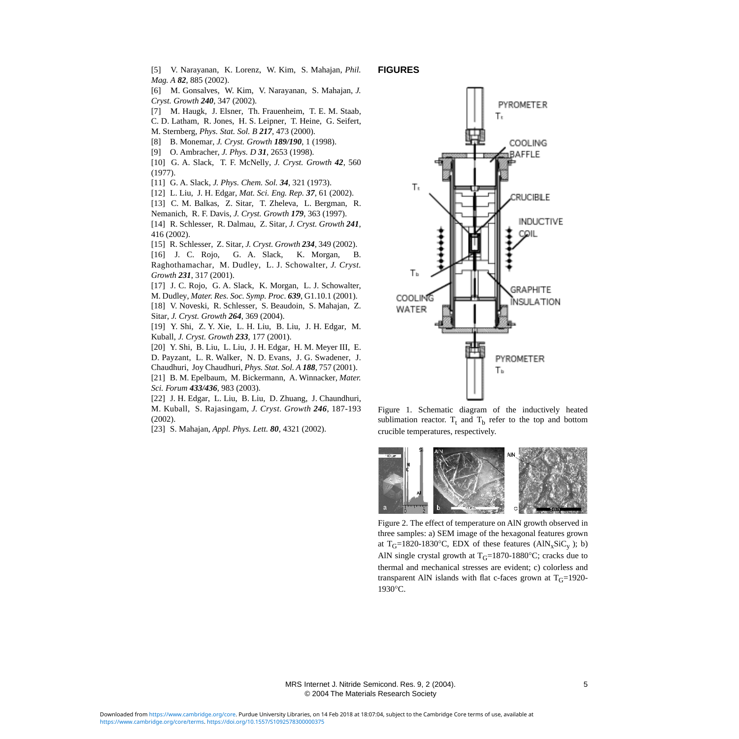<span id="page-5-0"></span>[5] V. Narayanan, K. Lorenz, W. Kim, S. Mahajan, *Phil. Mag. A 82*, 885 (2002).

<span id="page-5-1"></span>[6] M. Gonsalves, W. Kim, V. Narayanan, S. Mahajan, *J. Cryst. Growth 240*, 347 (2002).

- <span id="page-5-2"></span>[7] M. Haugk, J. Elsner, Th. Frauenheim, T. E. M. Staab, C. D. Latham, R. Jones, H. S. Leipner, T. Heine, G. Seifert,
- M. Sternberg, *Phys. Stat. Sol. B 217*, 473 (2000).
- <span id="page-5-3"></span>[8] B. Monemar, *J. Cryst. Growth 189/190*, 1 (1998).
- <span id="page-5-4"></span>[9] O. Ambracher, *J. Phys. D 31*, 2653 (1998).
- <span id="page-5-5"></span>[10] G. A. Slack, T. F. McNelly, *J. Cryst. Growth 42*, 560 (1977).
- <span id="page-5-6"></span>[11] G. A. Slack, *J. Phys. Chem. Sol. 34*, 321 (1973).
- <span id="page-5-7"></span>[12] L. Liu, J. H. Edgar, *Mat. Sci. Eng. Rep. 37*, 61 (2002).
- <span id="page-5-8"></span>[13] C. M. Balkas, Z. Sitar, T. Zheleva, L. Bergman, R. Nemanich, R. F. Davis, *J. Cryst. Growth 179*, 363 (1997).

<span id="page-5-9"></span>[14] R. Schlesser, R. Dalmau, Z. Sitar, *J. Cryst. Growth 241*, 416 (2002).

<span id="page-5-10"></span>[15] R. Schlesser, Z. Sitar, *J. Cryst. Growth 234*, 349 (2002).

<span id="page-5-11"></span>[16] J. C. Rojo, G. A. Slack, K. Morgan, B. Raghothamachar, M. Dudley, L. J. Schowalter, *J. Cryst. Growth 231*, 317 (2001).

<span id="page-5-12"></span>[17] J. C. Rojo, G. A. Slack, K. Morgan, L. J. Schowalter, M. Dudley, *Mater. Res. Soc. Symp. Proc. 639*, G1.10.1 (2001).

<span id="page-5-13"></span>[18] V. Noveski, R. Schlesser, S. Beaudoin, S. Mahajan, Z. Sitar, *J. Cryst. Growth 264*, 369 (2004).

<span id="page-5-14"></span>[19] Y. Shi, Z. Y. Xie, L. H. Liu, B. Liu, J. H. Edgar, M. Kuball, *J. Cryst. Growth 233*, 177 (2001).

<span id="page-5-15"></span>[20] Y. Shi, B. Liu, L. Liu, J. H. Edgar, H. M. Meyer III, E. D. Payzant, L. R. Walker, N. D. Evans, J. G. Swadener, J. Chaudhuri, Joy Chaudhuri, *Phys. Stat. Sol. A 188*, 757 (2001). [21] B. M. Epelbaum, M. Bickermann, A. Winnacker, *Mater.*

<span id="page-5-17"></span><span id="page-5-16"></span>*Sci. Forum 433/436*, 983 (2003). [22] J. H. Edgar, L. Liu, B. Liu, D. Zhuang, J. Chaundhuri, M. Kuball, S. Rajasingam, *J. Cryst. Growth 246*, 187-193 (2002).

<span id="page-5-19"></span>[23] S. Mahajan, *Appl. Phys. Lett. 80*, 4321 (2002).

#### <span id="page-5-18"></span>**FIGURES**



Figure 1. Schematic diagram of the inductively heated sublimation reactor.  $T_t$  and  $T_b$  refer to the top and bottom crucible temperatures, respectively.



Figure 2. The effect of temperature on AlN growth observed in three samples: a) SEM image of the hexagonal features grown at  $T_G=1820-1830$ °C, EDX of these features (AlN<sub>x</sub>SiC<sub>y</sub>); b) AlN single crystal growth at  $T_G=1870-1880^{\circ}$ C; cracks due to thermal and mechanical stresses are evident; c) colorless and transparent AlN islands with flat c-faces grown at  $T_G$ =1920-1930°C.